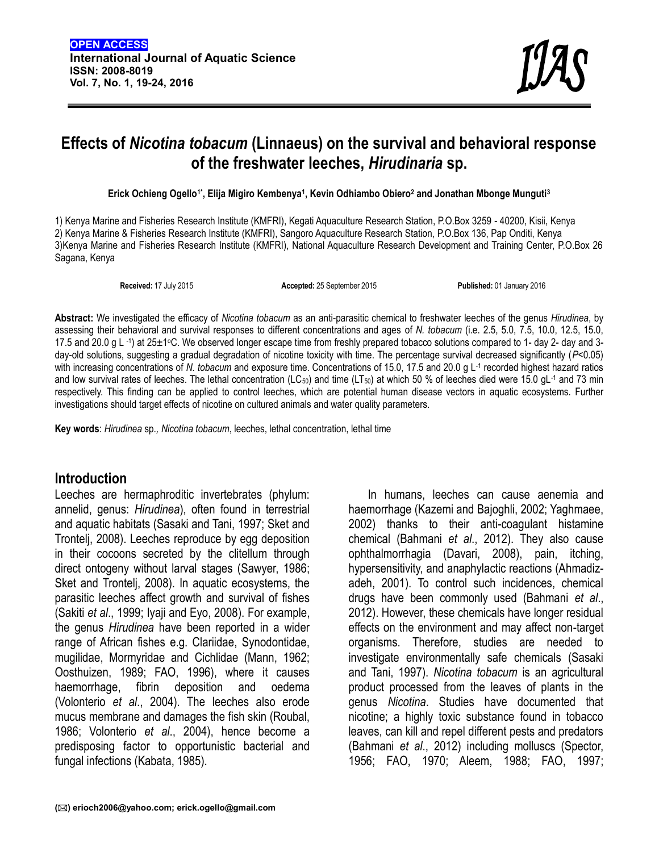## **Effects of** *Nicotina tobacum* **(Linnaeus) on the survival and behavioral response of the freshwater leeches,** *Hirudinaria* **sp.**

**Erick Ochieng Ogello1\*, Elija Migiro Kembenya<sup>1</sup> , Kevin Odhiambo Obiero<sup>2</sup> and Jonathan Mbonge Munguti<sup>3</sup>**

1) Kenya Marine and Fisheries Research Institute (KMFRI), Kegati Aquaculture Research Station, P.O.Box 3259 - 40200, Kisii, Kenya 2) Kenya Marine & Fisheries Research Institute (KMFRI), Sangoro Aquaculture Research Station, P.O.Box 136, Pap Onditi, Kenya 3)Kenya Marine and Fisheries Research Institute (KMFRI), National Aquaculture Research Development and Training Center, P.O.Box 26 Sagana, Kenya

**Received:** 17 July 2015 **Accepted:** 25 September 2015 **Published:** 01 January 2016

**Abstract:** We investigated the efficacy of *Nicotina tobacum* as an anti-parasitic chemical to freshwater leeches of the genus *Hirudinea*, by assessing their behavioral and survival responses to different concentrations and ages of *N. tobacum* (i.e. 2.5, 5.0, 7.5, 10.0, 12.5, 15.0, 17.5 and 20.0 g L ⋅1) at 25±1∘C. We observed longer escape time from freshly prepared tobacco solutions compared to 1- day 2- day and 3day-old solutions, suggesting a gradual degradation of nicotine toxicity with time. The percentage survival decreased significantly (*P*<0.05) with increasing concentrations of *N. tobacum* and exposure time. Concentrations of 15.0, 17.5 and 20.0 g L-1 recorded highest hazard ratios and low survival rates of leeches. The lethal concentration (LC<sub>50</sub>) and time (LT<sub>50</sub>) at which 50 % of leeches died were 15.0 gL<sup>-1</sup> and 73 min respectively. This finding can be applied to control leeches, which are potential human disease vectors in aquatic ecosystems*.* Further investigations should target effects of nicotine on cultured animals and water quality parameters.

**Key words**: *Hirudinea* sp.*, Nicotina tobacum*, leeches, lethal concentration, lethal time

#### **Introduction**

Leeches are hermaphroditic invertebrates (phylum: annelid, genus: *Hirudinea*), often found in terrestrial and aquatic habitats (Sasaki and Tani, 1997; Sket and Trontelj, 2008). Leeches reproduce by egg deposition in their cocoons secreted by the clitellum through direct ontogeny without larval stages (Sawyer, 1986; Sket and Trontelj, 2008). In aquatic ecosystems, the parasitic leeches affect growth and survival of fishes (Sakiti *et al*., 1999; Iyaji and Eyo, 2008). For example, the genus *Hirudinea* have been reported in a wider range of African fishes e.g. Clariidae, Synodontidae, mugilidae, Mormyridae and Cichlidae (Mann, 1962; Oosthuizen, 1989; FAO, 1996), where it causes haemorrhage, fibrin deposition and oedema (Volonterio *et al*., 2004). The leeches also erode mucus membrane and damages the fish skin (Roubal, 1986; Volonterio *et al*., 2004), hence become a predisposing factor to opportunistic bacterial and fungal infections (Kabata, 1985).

In humans, leeches can cause aenemia and haemorrhage (Kazemi and Bajoghli, 2002; Yaghmaee, 2002) thanks to their anti-coagulant histamine chemical (Bahmani *et al*., 2012). They also cause ophthalmorrhagia (Davari, 2008), pain, itching, hypersensitivity, and anaphylactic reactions (Ahmadiz adeh, 2001). To control such incidences, chemical drugs have been commonly used (Bahmani *et al*., 2012). However, these chemicals have longer residual effects on the environment and may affect non-target organisms. Therefore, studies are needed to investigate environmentally safe chemicals (Sasaki and Tani, 1997). *Nicotina tobacum* is an agricultural product processed from the leaves of plants in the genus *Nicotina*. Studies have documented that nicotine; a highly toxic substance found in tobacco leaves, can kill and repel different pests and predators (Bahmani *et al*., 2012) including molluscs (Spector, 1956; FAO, 1970; Aleem, 1988; FAO, 1997;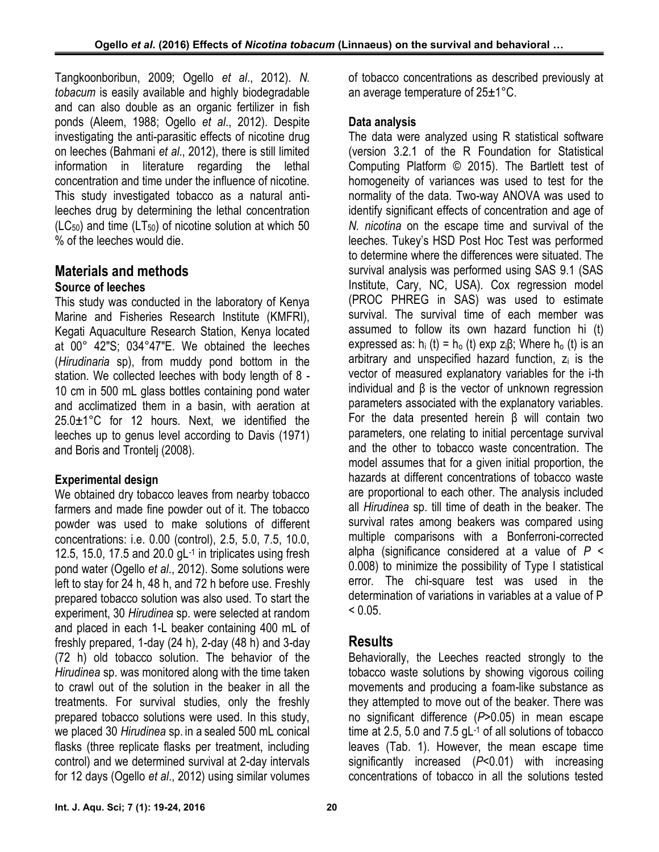Tangkoonboribun, 2009; Ogello *et al*., 2012). *N. tobacum* is easily available and highly biodegradable and can also double as an organic fertilizer in fish ponds (Aleem, 1988; Ogello *et al*., 2012). Despite investigating the anti-parasitic effects of nicotine drug on leeches (Bahmani *et al*., 2012), there is still limited information in literature regarding the lethal concentration and time under the influence of nicotine. This study investigated tobacco as a natural antileeches drug by determining the lethal concentration  $(LC_{50})$  and time  $(LT_{50})$  of nicotine solution at which 50 % of the leeches would die.

# **Materials and methods**

#### **Source of leeches**

This study was conducted in the laboratory of Kenya Marine and Fisheries Research Institute (KMFRI), Kegati Aquaculture Research Station, Kenya located at 00° 42″S; 034°47″E. We obtained the leeches (*Hirudinaria* sp), from muddy pond bottom in the station. We collected leeches with body length of 8 - 10 cm in 500 mL glass bottles containing pond water and acclimatized them in a basin, with aeration at 25.0±1°C for 12 hours. Next, we identified the leeches up to genus level according to Davis (1971) and Boris and Trontelj (2008).

### **Experimental design**

We obtained dry tobacco leaves from nearby tobacco farmers and made fine powder out of it. The tobacco powder was used to make solutions of different concentrations: i.e. 0.00 (control), 2.5, 5.0, 7.5, 10.0, 12.5, 15.0, 17.5 and 20.0 gL<sup>-1</sup> in triplicates using fresh  $\epsilon$ pond water (Ogello *et al*., 2012). Some solutions were left to stay for 24 h, 48 h, and 72 h before use. Freshly prepared tobacco solution was also used. To start the experiment, 30 *Hirudinea* sp. were selected at random and placed in each 1-L beaker containing 400 mL of freshly prepared, 1-day (24 h), 2-day (48 h) and 3-day (72 h) old tobacco solution. The behavior of the *Hirudinea* sp. was monitored along with the time taken to crawl out of the solution in the beaker in all the treatments. For survival studies, only the freshly prepared tobacco solutions were used. In this study, we placed 30 *Hirudinea* sp. in a sealed 500 mL conical flasks (three replicate flasks per treatment, including control) and we determined survival at 2-day intervals for 12 days (Ogello *et al*., 2012) using similar volumes

of tobacco concentrations as described previously at an average temperature of 25±1°C.

#### **Data analysis**

The data were analyzed using R statistical software (version 3.2.1 of the R Foundation for Statistical Computing Platform © 2015). The Bartlett test of homogeneity of variances was used to test for the normality of the data. Two-way ANOVA was used to identify significant effects of concentration and age of *N. nicotina* on the escape time and survival of the leeches. Tukey's HSD Post Hoc Test was performed to determine where the differences were situated. The survival analysis was performed using SAS 9.1 (SAS Institute, Cary, NC, USA). Cox regression model (PROC PHREG in SAS) was used to estimate survival. The survival time of each member was assumed to follow its own hazard function hi (t) expressed as: h<sub>i</sub> (t) = h<sub>o</sub> (t) exp z<sub>i</sub> $\beta$ ; Where h<sub>o</sub> (t) is an arbitrary and unspecified hazard function,  $z_i$  is the vector of measured explanatory variables for the i-th individual and β is the vector of unknown regression parameters associated with the explanatory variables. For the data presented herein β will contain two parameters, one relating to initial percentage survival and the other to tobacco waste concentration. The model assumes that for a given initial proportion, the hazards at different concentrations of tobacco waste are proportional to each other. The analysis included all *Hirudinea* sp. till time of death in the beaker. The survival rates among beakers was compared using multiple comparisons with a Bonferroni-corrected alpha (significance considered at a value of *P* < 0.008) to minimize the possibility of Type I statistical error. The chi-square test was used in the determination of variations in variables at a value of P  $< 0.05.$ 

## **Results**

Behaviorally, the Leeches reacted strongly to the tobacco waste solutions by showing vigorous coiling movements and producing a foam-like substance as they attempted to move out of the beaker. There was no significant difference (*P*>0.05) in mean escape time at 2.5, 5.0 and 7.5 gL<sup>-1</sup> of all solutions of tobacco leaves (Tab. 1). However, the mean escape time significantly increased (*P*<0.01) with increasing concentrations of tobacco in all the solutions tested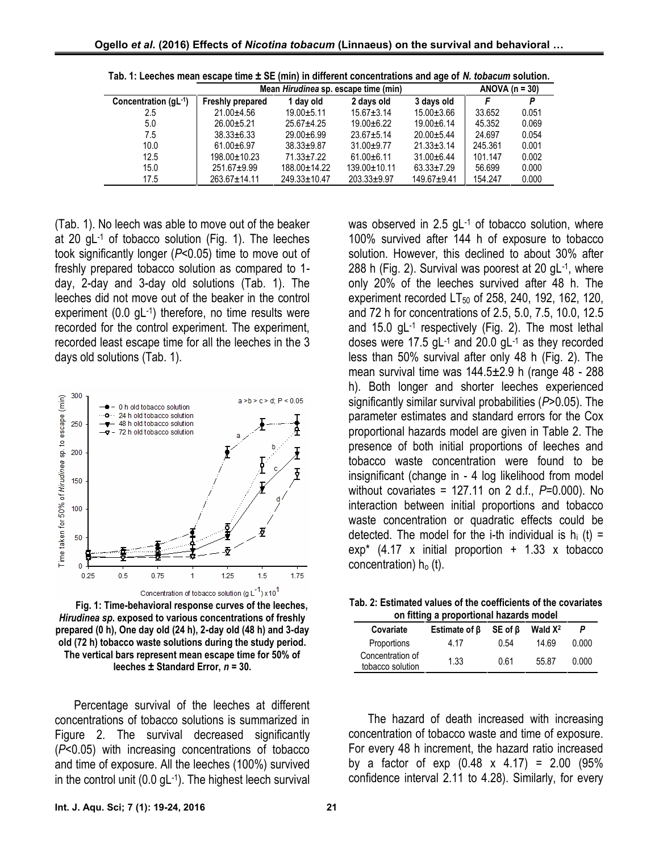|                           | Mean <i>Hirudinea</i> sp. escape time (min) |                    |                    |                  | ANOVA $(n = 30)$ |       |
|---------------------------|---------------------------------------------|--------------------|--------------------|------------------|------------------|-------|
| Concentration $(gL^{-1})$ | Freshly prepared                            | 1 day old          | 2 days old         | 3 days old       |                  |       |
| 2.5                       | $21.00 + 4.56$                              | $19.00 + 5.11$     | $15.67 + 3.14$     | $15.00 \pm 3.66$ | 33.652           | 0.051 |
| 5.0                       | $26.00 + 5.21$                              | $25.67 + 4.25$     | $19.00 + 6.22$     | $19.00 + 6.14$   | 45.352           | 0.069 |
| 7.5                       | $38.33 \pm 6.33$                            | $29.00 + 6.99$     | $23.67 + 5.14$     | $20.00 + 5.44$   | 24.697           | 0.054 |
| 10.0                      | $61.00 + 6.97$                              | $38.33 \pm 9.87$   | $31.00 + 9.77$     | $21.33 \pm 3.14$ | 245.361          | 0.001 |
| 12.5                      | $198.00 \pm 10.23$                          | $71.33 \pm 7.22$   | $61.00 + 6.11$     | $31.00 + 6.44$   | 101.147          | 0.002 |
| 15.0                      | $251.67 + 9.99$                             | 188.00±14.22       | $139.00 \pm 10.11$ | $63.33 \pm 7.29$ | 56.699           | 0.000 |
| 17.5                      | 263.67±14.11                                | $249.33 \pm 10.47$ | $203.33 + 9.97$    | $149.67 + 9.41$  | 154.247          | 0.000 |

|  |  |  | Tab. 1: Leeches mean escape time ± SE (min) in different concentrations and age of N. tobacum solution. |  |
|--|--|--|---------------------------------------------------------------------------------------------------------|--|
|--|--|--|---------------------------------------------------------------------------------------------------------|--|

(Tab. 1). No leech was able to move out of the beaker at 20 gL-1 of tobacco solution (Fig. 1). The leeches took significantly longer (*P*<0.05) time to move out of freshly prepared tobacco solution as compared to 1 day, 2-day and 3-day old solutions (Tab. 1). The leeches did not move out of the beaker in the control experiment (0.0 gL-1) therefore, no time results were and the capacity of the capacitors of a recorded for the control experiment. The experiment, recorded least escape time for all the leeches in the 3 days old solutions (Tab. 1).



**Fig. 1: Time-behavioral response curves of the leeches,** *Hirudinea sp***. exposed to various concentrations of freshly prepared (0 h), One day old (24 h), 2-day old (48 h) and 3-day old (72 h) tobacco waste solutions during the study period. The vertical bars represent mean escape time for 50% of leeches ± Standard Error,** *n* **= 30.**

Percentage survival of the leeches at different concentrations of tobacco solutions is summarized in Figure 2. The survival decreased significantly (*P*<0.05) with increasing concentrations of tobacco and time of exposure. All the leeches (100%) survived in the control unit (0.0 gL-1 ). The highest leech survival was observed in 2.5 gL-1 of tobacco solution, where 100% survived after 144 h of exposure to tobacco solution. However, this declined to about 30% after 288 h (Fig. 2). Survival was poorest at 20 gL-1 , where only 20% of the leeches survived after 48 h. The experiment recorded  $LT_{50}$  of 258, 240, 192, 162, 120, and 72 h for concentrations of 2.5, 5.0, 7.5, 10.0, 12.5 and 15.0 gL-1 respectively (Fig. 2). The most lethal doses were 17.5 gL<sup>-1</sup> and 20.0 gL<sup>-1</sup> as they recorded less than 50% survival after only 48 h (Fig. 2). The mean survival time was 144.5±2.9 h (range 48 - 288 h). Both longer and shorter leeches experienced significantly similar survival probabilities (*P*>0.05). The parameter estimates and standard errors for the Cox proportional hazards model are given in Table 2. The presence of both initial proportions of leeches and tobacco waste concentration were found to be insignificant (change in - 4 log likelihood from model without covariates = 127.11 on 2 d.f., *P*=0.000). No interaction between initial proportions and tobacco waste concentration or quadratic effects could be detected. The model for the i-th individual is  $h_i$  (t) =  $exp<sup>*</sup>$  (4.17 x initial proportion + 1.33 x tobacco concentration)  $h_0$  (t).

**Tab. 2: Estimated values of the coefficients of the covariates on fitting a proportional hazards model**

| .                                    |                     |         |            |       |  |  |
|--------------------------------------|---------------------|---------|------------|-------|--|--|
| Covariate                            | Estimate of $\beta$ | SE of ß | Wald $X^2$ |       |  |  |
| Proportions                          | 4.17                | 0.54    | 14.69      | 0.000 |  |  |
| Concentration of<br>tobacco solution | 1.33                | 0.61    | 55.87      | 0.000 |  |  |

The hazard of death increased with increasing concentration of tobacco waste and time of exposure. For every 48 h increment, the hazard ratio increased by a factor of  $exp(0.48 \times 4.17) = 2.00(95\%)$ confidence interval 2.11 to 4.28). Similarly, for every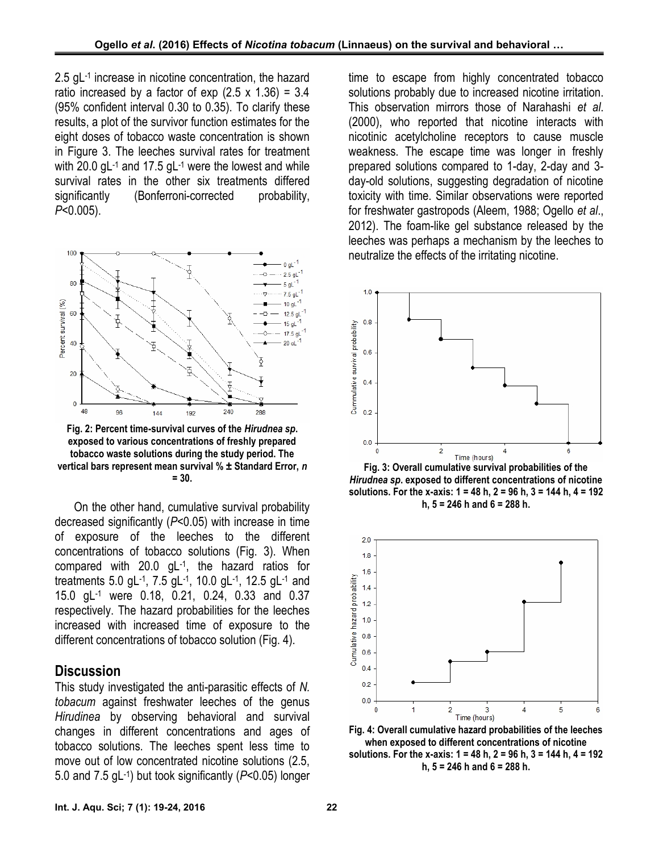2.5 gL-1 increase in nicotine concentration, the hazard ratio increased by a factor of exp  $(2.5 \times 1.36) = 3.4$ (95% confident interval 0.30 to 0.35). To clarify these results, a plot of the survivor function estimates for the eight doses of tobacco waste concentration is shown in Figure 3. The leeches survival rates for treatment with 20.0 gL<sup>-1</sup> and 17.5 gL<sup>-1</sup> were the lowest and while  $\hskip1.6cm$  p survival rates in the other six treatments differed significantly (Bonferroni-corrected probability, *P*<0.005).



**Fig. 2: Percent time-survival curves of the** *Hirudnea sp***. exposed to various concentrations of freshly prepared tobacco waste solutions during the study period. The vertical bars represent mean survival % ± Standard Error,** *n* **= 30.**

On the other hand, cumulative survival probability decreased significantly (*P*<0.05) with increase in time of exposure of the leeches to the different concentrations of tobacco solutions (Fig. 3). When compared with 20.0 gL-1 , the hazard ratios for treatments 5.0 gL-1 , 7.5 gL-1 , 10.0 gL-1 , 12.5 gL-1 and 15.0 gL-1 were 0.18, 0.21, 0.24, 0.33 and 0.37 respectively. The hazard probabilities for the leeches treatments 5.0 gL<sup>-1</sup>, 7.5 gL<sup>-1</sup>, 10.0 gL<sup>-1</sup>, 12.5 gL<sup>-1</sup> and<br>15.0 gL<sup>-1</sup> were 0.18, 0.21, 0.24, 0.33 and 0.37<br>respectively. The hazard probabilities for the leeches<br>increased with increased time of exposure to the<br>diff different concentrations of tobacco solution (Fig. 4).

#### **Discussion**

This study investigated the anti-parasitic effects of *N. tobacum* against freshwater leeches of the genus *Hirudinea* by observing behavioral and survival changes in different concentrations and ages of tobacco solutions. The leeches spent less time to move out of low concentrated nicotine solutions (2.5, 5.0 and 7.5 gL-1 ) but took significantly (*P*<0.05) longer

time to escape from highly concentrated tobacco solutions probably due to increased nicotine irritation. This observation mirrors those of Narahashi *et al*. (2000), who reported that nicotine interacts with nicotinic acetylcholine receptors to cause muscle weakness. The escape time was longer in freshly prepared solutions compared to 1-day, 2-day and 3 day-old solutions, suggesting degradation of nicotine toxicity with time. Similar observations were reported for freshwater gastropods (Aleem, 1988; Ogello *et al*., 2012). The foam-like gel substance released by the leeches was perhaps a mechanism by the leeches to neutralize the effects of the irritating nicotine.



**Fig. 3: Overall cumulative survival probabilities of the** *Hirudnea sp***. exposed to different concentrations of nicotine solutions. For the x-axis: 1 = 48 h, 2 = 96 h, 3 = 144 h, 4 = 192 h, 5 = 246 h and 6 = 288 h.**



**Fig. 4: Overall cumulative hazard probabilities of the leeches when exposed to different concentrations of nicotine solutions. For the x-axis: 1 = 48 h, 2 = 96 h, 3 = 144 h, 4 = 192 h, 5 = 246 h and 6 = 288 h.**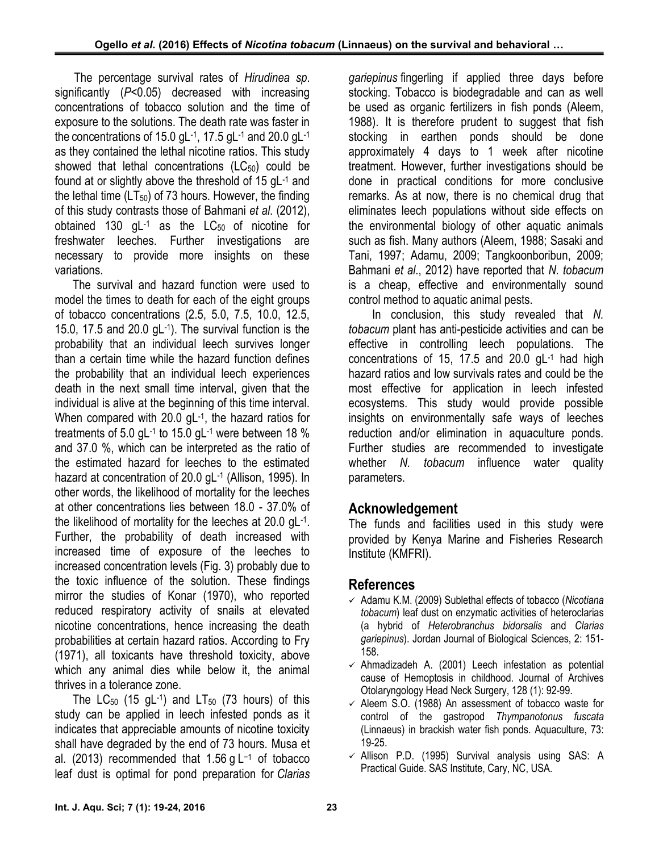The percentage survival rates of *Hirudinea sp*. significantly (*P*<0.05) decreased with increasing concentrations of tobacco solution and the time of exposure to the solutions. The death rate was faster in the concentrations of 15.0 gL-1 , 17.5 gL-1 and 20.0 gL-1 as they contained the lethal nicotine ratios. This study showed that lethal concentrations  $(LC_{50})$  could be found at or slightly above the threshold of 15 gL<sup>-1</sup> and compare the lethal time  $(LT_{50})$  of 73 hours. However, the finding of this study contrasts those of Bahmani *et al*. (2012), obtained 130 gL $^{-1}$  as the LC $_{50}$  of nicotine for freshwater leeches. Further investigations are necessary to provide more insights on these variations.

The survival and hazard function were used to model the times to death for each of the eight groups of tobacco concentrations (2.5, 5.0, 7.5, 10.0, 12.5, 15.0, 17.5 and 20.0 gL $^{-1}$ ). The survival function is the  $t_0$ probability that an individual leech survives longer than a certain time while the hazard function defines the probability that an individual leech experiences death in the next small time interval, given that the individual is alive at the beginning of this time interval. When compared with 20.0 gL-1 , the hazard ratios for treatments of 5.0 gL<sup>-1</sup> to 15.0 gL<sup>-1</sup> were between 18 % and reduction and 37.0 %, which can be interpreted as the ratio of the estimated hazard for leeches to the estimated hazard at concentration of 20.0 gL-1 (Allison, 1995). In other words, the likelihood of mortality for the leeches at other concentrations lies between 18.0 - 37.0% of the likelihood of mortality for the leeches at 20.0 gL-1 . Further, the probability of death increased with increased time of exposure of the leeches to increased concentration levels (Fig. 3) probably due to the toxic influence of the solution. These findings mirror the studies of Konar (1970), who reported reduced respiratory activity of snails at elevated nicotine concentrations, hence increasing the death probabilities at certain hazard ratios. According to Fry (1971), all toxicants have threshold toxicity, above which any animal dies while below it, the animal thrives in a tolerance zone.

The  $\mathsf{LC}_{50}$  (15 gL-1) and  $\mathsf{LT}_{50}$  (73 hours) of this study can be applied in leech infested ponds as it indicates that appreciable amounts of nicotine toxicity shall have degraded by the end of 73 hours. Musa et al. (2013) recommended that 1.56 g L<sup>-1</sup> of tobacco < √ leaf dust is optimal for pond preparation for *Clarias*

*gariepinus* fingerling if applied three days before stocking. Tobacco is biodegradable and can as well be used as organic fertilizers in fish ponds (Aleem, 1988). It is therefore prudent to suggest that fish stocking in earthen ponds should be done approximately 4 days to 1 week after nicotine treatment. However, further investigations should be done in practical conditions for more conclusive remarks. As at now, there is no chemical drug that eliminates leech populations without side effects on the environmental biology of other aquatic animals such as fish. Many authors (Aleem, 1988; Sasaki and Tani, 1997; Adamu, 2009; Tangkoonboribun, 2009; Bahmani *et al*., 2012) have reported that *N. tobacum* is a cheap, effective and environmentally sound control method to aquatic animal pests.

In conclusion, this study revealed that *N. tobacum* plant has anti-pesticide activities and can be effective in controlling leech populations. The concentrations of 15, 17.5 and 20.0 gL-1 had high hazard ratios and low survivals rates and could be the most effective for application in leech infested ecosystems. This study would provide possible insights on environmentally safe ways of leeches reduction and/or elimination in aquaculture ponds. Further studies are recommended to investigate whether *N. tobacum* influence water quality parameters.

## **Acknowledgement**

The funds and facilities used in this study were provided by Kenya Marine and Fisheries Research Institute (KMFRI).

## **References**

- Adamu K.M. (2009) Sublethal effects of tobacco (*Nicotiana tobacum*) leaf dust on enzymatic activities of heteroclarias (a hybrid of *Heterobranchus bidorsalis* and *Clarias gariepinus*). Jordan Journal of Biological Sciences, 2: 151- 158.
- $\checkmark$  Ahmadizadeh A. (2001) Leech infestation as potential cause of Hemoptosis in childhood. Journal of Archives Otolaryngology Head Neck Surgery, 128 (1): 92-99.
- $\checkmark$  Aleem S.O. (1988) An assessment of tobacco waste for control of the gastropod *Thympanotonus fuscata* (Linnaeus) in brackish water fish ponds. Aquaculture, 73: 19-25.
- $\checkmark$  Allison P.D. (1995) Survival analysis using SAS: A Practical Guide. SAS Institute, Cary, NC, USA.